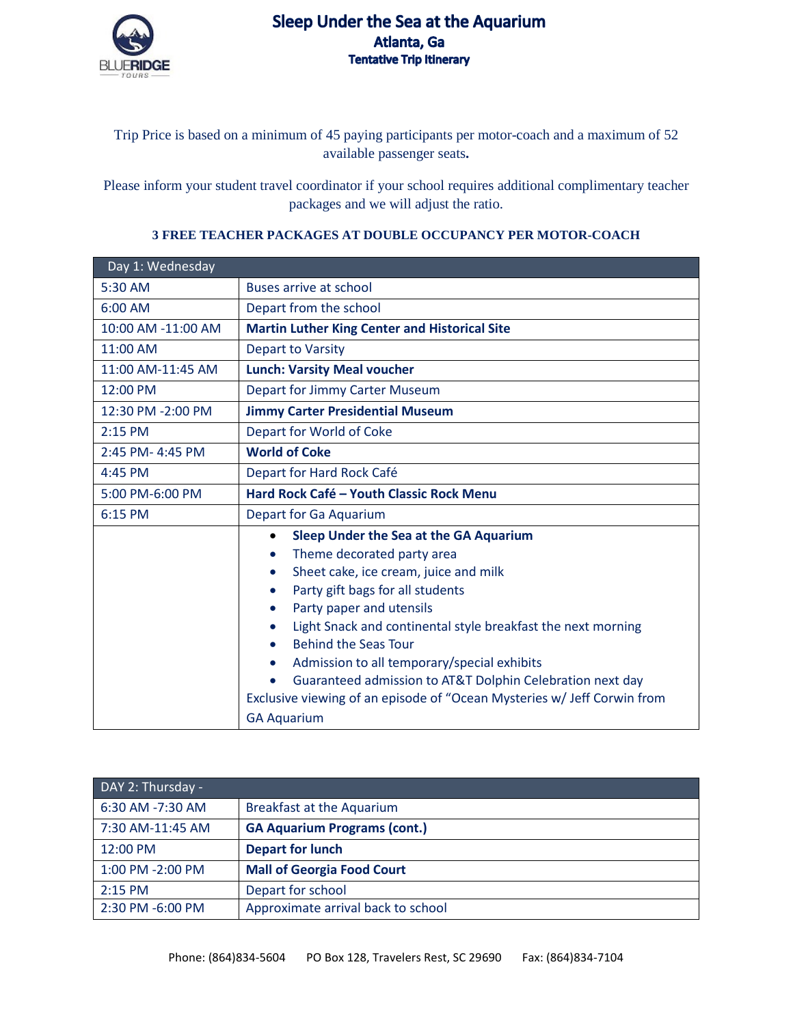

## Sleep Under the Sea at the Aquarium Atlanta, Ga **Tentative Trip Itinerary**

Trip Price is based on a minimum of 45 paying participants per motor-coach and a maximum of 52 available passenger seats**.**

Please inform your student travel coordinator if your school requires additional complimentary teacher packages and we will adjust the ratio.

## Day 1: Wednesday 5:30 AM Buses arrive at school 6:00 AM Depart from the school 10:00 AM -11:00 AM **Martin Luther King Center and Historical Site**  11:00 AM Depart to Varsity 11:00 AM-11:45 AM **Lunch: Varsity Meal voucher** 12:00 PM Depart for Jimmy Carter Museum 12:30 PM -2:00 PM **Jimmy Carter Presidential Museum**  2:15 PM Depart for World of Coke 2:45 PM- 4:45 PM **World of Coke**  4:45 PM Depart for Hard Rock Café 5:00 PM-6:00 PM **Hard Rock Café – Youth Classic Rock Menu**  6:15 PM Depart for Ga Aquarium • **Sleep Under the Sea at the GA Aquarium** • Theme decorated party area • Sheet cake, ice cream, juice and milk • Party gift bags for all students • Party paper and utensils • Light Snack and continental style breakfast the next morning • Behind the Seas Tour • Admission to all temporary/special exhibits • Guaranteed admission to AT&T Dolphin Celebration next day Exclusive viewing of an episode of "Ocean Mysteries w/ Jeff Corwin from GA Aquarium

## **3 FREE TEACHER PACKAGES AT DOUBLE OCCUPANCY PER MOTOR-COACH**

| DAY 2: Thursday - |                                     |  |
|-------------------|-------------------------------------|--|
| 6:30 AM -7:30 AM  | <b>Breakfast at the Aquarium</b>    |  |
| 7:30 AM-11:45 AM  | <b>GA Aquarium Programs (cont.)</b> |  |
| 12:00 PM          | <b>Depart for lunch</b>             |  |
| 1:00 PM -2:00 PM  | <b>Mall of Georgia Food Court</b>   |  |
| $2:15$ PM         | Depart for school                   |  |
| 2:30 PM -6:00 PM  | Approximate arrival back to school  |  |